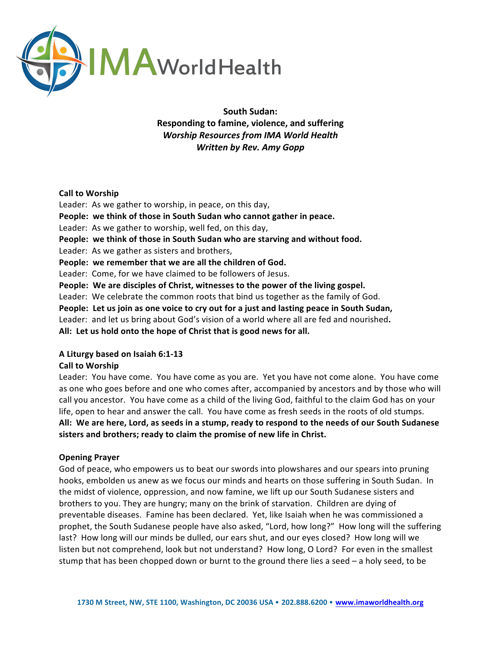

South Sudan: **Responding to famine, violence, and suffering Worship Resources from IMA World Health** *Written by Rev. Amy Gopp*

### **Call to Worship**

Leader: As we gather to worship, in peace, on this day, People: we think of those in South Sudan who cannot gather in peace. Leader: As we gather to worship, well fed, on this day, People: we think of those in South Sudan who are starving and without food. Leader: As we gather as sisters and brothers, People: we remember that we are all the children of God. Leader: Come, for we have claimed to be followers of Jesus. **People:** We are disciples of Christ, witnesses to the power of the living gospel. Leader: We celebrate the common roots that bind us together as the family of God. **People:** Let us join as one voice to cry out for a just and lasting peace in South Sudan, Leader: and let us bring about God's vision of a world where all are fed and nourished. All: Let us hold onto the hope of Christ that is good news for all.

## **A Liturgy based on Isaiah 6:1-13**

## **Call to Worship**

Leader: You have come. You have come as you are. Yet you have not come alone. You have come as one who goes before and one who comes after, accompanied by ancestors and by those who will call you ancestor. You have come as a child of the living God, faithful to the claim God has on your life, open to hear and answer the call. You have come as fresh seeds in the roots of old stumps. All: We are here, Lord, as seeds in a stump, ready to respond to the needs of our South Sudanese sisters and brothers; ready to claim the promise of new life in Christ.

## **Opening Prayer**

God of peace, who empowers us to beat our swords into plowshares and our spears into pruning hooks, embolden us anew as we focus our minds and hearts on those suffering in South Sudan. In the midst of violence, oppression, and now famine, we lift up our South Sudanese sisters and brothers to you. They are hungry; many on the brink of starvation. Children are dying of preventable diseases. Famine has been declared. Yet, like Isaiah when he was commissioned a prophet, the South Sudanese people have also asked, "Lord, how long?" How long will the suffering last? How long will our minds be dulled, our ears shut, and our eyes closed? How long will we listen but not comprehend, look but not understand? How long, O Lord? For even in the smallest stump that has been chopped down or burnt to the ground there lies a seed  $-$  a holy seed, to be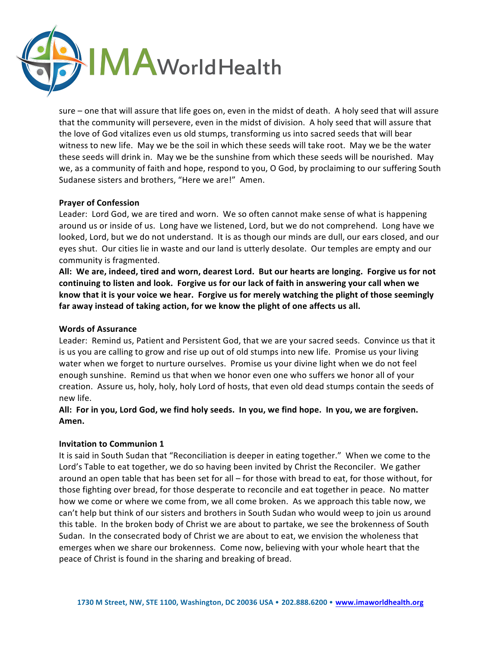

sure – one that will assure that life goes on, even in the midst of death. A holy seed that will assure that the community will persevere, even in the midst of division. A holy seed that will assure that the love of God vitalizes even us old stumps, transforming us into sacred seeds that will bear witness to new life. May we be the soil in which these seeds will take root. May we be the water these seeds will drink in. May we be the sunshine from which these seeds will be nourished. May we, as a community of faith and hope, respond to you, O God, by proclaiming to our suffering South Sudanese sisters and brothers, "Here we are!" Amen.

## **Prayer of Confession**

Leader: Lord God, we are tired and worn. We so often cannot make sense of what is happening around us or inside of us. Long have we listened, Lord, but we do not comprehend. Long have we looked, Lord, but we do not understand. It is as though our minds are dull, our ears closed, and our eyes shut. Our cities lie in waste and our land is utterly desolate. Our temples are empty and our community is fragmented.

All: We are, indeed, tired and worn, dearest Lord. But our hearts are longing. Forgive us for not continuing to listen and look. Forgive us for our lack of faith in answering your call when we know that it is your voice we hear. Forgive us for merely watching the plight of those seemingly far away instead of taking action, for we know the plight of one affects us all.

## **Words of Assurance**

Leader: Remind us, Patient and Persistent God, that we are your sacred seeds. Convince us that it is us you are calling to grow and rise up out of old stumps into new life. Promise us your living water when we forget to nurture ourselves. Promise us your divine light when we do not feel enough sunshine. Remind us that when we honor even one who suffers we honor all of your creation. Assure us, holy, holy, holy Lord of hosts, that even old dead stumps contain the seeds of new life. 

# All: For in you, Lord God, we find holy seeds. In you, we find hope. In you, we are forgiven. Amen.

## **Invitation to Communion 1**

It is said in South Sudan that "Reconciliation is deeper in eating together." When we come to the Lord's Table to eat together, we do so having been invited by Christ the Reconciler. We gather around an open table that has been set for all – for those with bread to eat, for those without, for those fighting over bread, for those desperate to reconcile and eat together in peace. No matter how we come or where we come from, we all come broken. As we approach this table now, we can't help but think of our sisters and brothers in South Sudan who would weep to join us around this table. In the broken body of Christ we are about to partake, we see the brokenness of South Sudan. In the consecrated body of Christ we are about to eat, we envision the wholeness that emerges when we share our brokenness. Come now, believing with your whole heart that the peace of Christ is found in the sharing and breaking of bread.